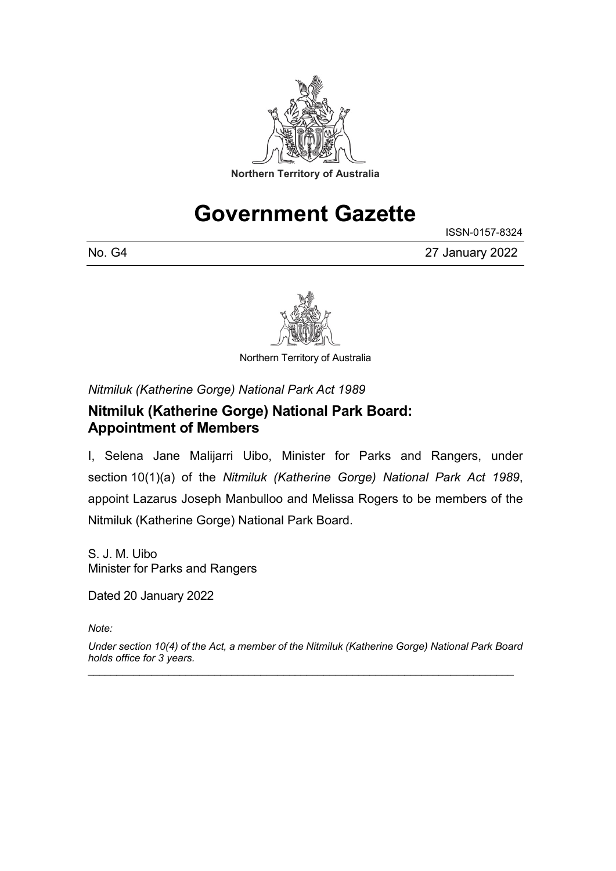

# **Government Gazette**

ISSN-0157-8324

No. G4 27 January 2022



Northern Territory of Australia

*Nitmiluk (Katherine Gorge) National Park Act 1989*

#### **Nitmiluk (Katherine Gorge) National Park Board: Appointment of Members**

I, Selena Jane Malijarri Uibo, Minister for Parks and Rangers, under section 10(1)(a) of the *Nitmiluk (Katherine Gorge) National Park Act 1989*, appoint Lazarus Joseph Manbulloo and Melissa Rogers to be members of the Nitmiluk (Katherine Gorge) National Park Board.

S. J. M. Uibo Minister for Parks and Rangers

Dated 20 January 2022

*Note:*

*Under section 10(4) of the Act, a member of the Nitmiluk (Katherine Gorge) National Park Board holds office for 3 years.*

\_\_\_\_\_\_\_\_\_\_\_\_\_\_\_\_\_\_\_\_\_\_\_\_\_\_\_\_\_\_\_\_\_\_\_\_\_\_\_\_\_\_\_\_\_\_\_\_\_\_\_\_\_\_\_\_\_\_\_\_\_\_\_\_\_\_\_\_\_\_\_\_\_\_